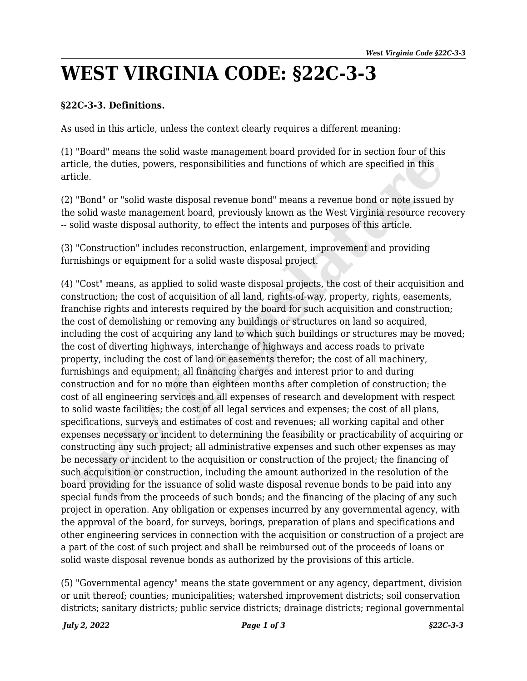## **WEST VIRGINIA CODE: §22C-3-3**

## **§22C-3-3. Definitions.**

As used in this article, unless the context clearly requires a different meaning:

(1) "Board" means the solid waste management board provided for in section four of this article, the duties, powers, responsibilities and functions of which are specified in this article.

(2) "Bond" or "solid waste disposal revenue bond" means a revenue bond or note issued by the solid waste management board, previously known as the West Virginia resource recovery -- solid waste disposal authority, to effect the intents and purposes of this article.

(3) "Construction" includes reconstruction, enlargement, improvement and providing furnishings or equipment for a solid waste disposal project.

(4) "Cost" means, as applied to solid waste disposal projects, the cost of their acquisition and construction; the cost of acquisition of all land, rights-of-way, property, rights, easements, franchise rights and interests required by the board for such acquisition and construction; the cost of demolishing or removing any buildings or structures on land so acquired, including the cost of acquiring any land to which such buildings or structures may be moved; the cost of diverting highways, interchange of highways and access roads to private property, including the cost of land or easements therefor; the cost of all machinery, furnishings and equipment; all financing charges and interest prior to and during construction and for no more than eighteen months after completion of construction; the cost of all engineering services and all expenses of research and development with respect to solid waste facilities; the cost of all legal services and expenses; the cost of all plans, specifications, surveys and estimates of cost and revenues; all working capital and other expenses necessary or incident to determining the feasibility or practicability of acquiring or constructing any such project; all administrative expenses and such other expenses as may be necessary or incident to the acquisition or construction of the project; the financing of such acquisition or construction, including the amount authorized in the resolution of the board providing for the issuance of solid waste disposal revenue bonds to be paid into any special funds from the proceeds of such bonds; and the financing of the placing of any such project in operation. Any obligation or expenses incurred by any governmental agency, with the approval of the board, for surveys, borings, preparation of plans and specifications and other engineering services in connection with the acquisition or construction of a project are a part of the cost of such project and shall be reimbursed out of the proceeds of loans or solid waste disposal revenue bonds as authorized by the provisions of this article. "Board" means the solid waste management board provided for in section four of this<br>"Board" or "solid waste disposal revenue bond" means a revenue bond or note issued a<br>cle, the duties, powers, responsibilities and functio

(5) "Governmental agency" means the state government or any agency, department, division or unit thereof; counties; municipalities; watershed improvement districts; soil conservation districts; sanitary districts; public service districts; drainage districts; regional governmental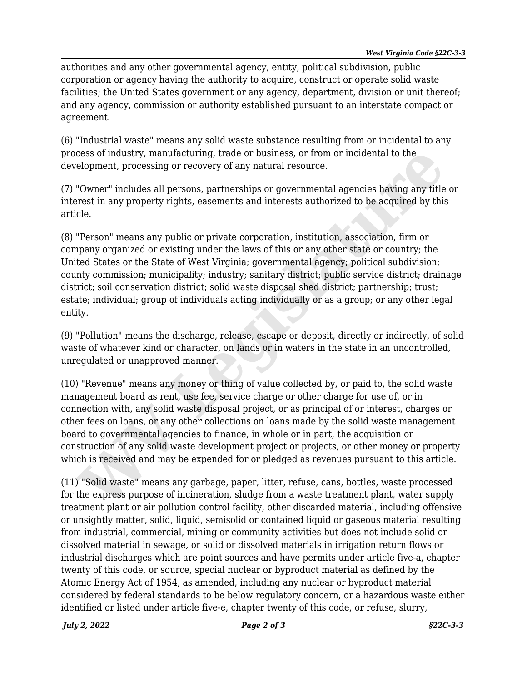authorities and any other governmental agency, entity, political subdivision, public corporation or agency having the authority to acquire, construct or operate solid waste facilities; the United States government or any agency, department, division or unit thereof; and any agency, commission or authority established pursuant to an interstate compact or agreement.

(6) "Industrial waste" means any solid waste substance resulting from or incidental to any process of industry, manufacturing, trade or business, or from or incidental to the development, processing or recovery of any natural resource.

(7) "Owner" includes all persons, partnerships or governmental agencies having any title or interest in any property rights, easements and interests authorized to be acquired by this article.

(8) "Person" means any public or private corporation, institution, association, firm or company organized or existing under the laws of this or any other state or country; the United States or the State of West Virginia; governmental agency; political subdivision; county commission; municipality; industry; sanitary district; public service district; drainage district; soil conservation district; solid waste disposal shed district; partnership; trust; estate; individual; group of individuals acting individually or as a group; or any other legal entity. cess of industry, manufacturing, trade or business, or from or incidental to the<br>elopment, processing or recovery of any natural resource.<br>"Owner" includes all persons, partnerships or governmental agencies having any titl

(9) "Pollution" means the discharge, release, escape or deposit, directly or indirectly, of solid waste of whatever kind or character, on lands or in waters in the state in an uncontrolled, unregulated or unapproved manner.

(10) "Revenue" means any money or thing of value collected by, or paid to, the solid waste management board as rent, use fee, service charge or other charge for use of, or in connection with, any solid waste disposal project, or as principal of or interest, charges or other fees on loans, or any other collections on loans made by the solid waste management board to governmental agencies to finance, in whole or in part, the acquisition or construction of any solid waste development project or projects, or other money or property which is received and may be expended for or pledged as revenues pursuant to this article.

(11) "Solid waste" means any garbage, paper, litter, refuse, cans, bottles, waste processed for the express purpose of incineration, sludge from a waste treatment plant, water supply treatment plant or air pollution control facility, other discarded material, including offensive or unsightly matter, solid, liquid, semisolid or contained liquid or gaseous material resulting from industrial, commercial, mining or community activities but does not include solid or dissolved material in sewage, or solid or dissolved materials in irrigation return flows or industrial discharges which are point sources and have permits under article five-a, chapter twenty of this code, or source, special nuclear or byproduct material as defined by the Atomic Energy Act of 1954, as amended, including any nuclear or byproduct material considered by federal standards to be below regulatory concern, or a hazardous waste either identified or listed under article five-e, chapter twenty of this code, or refuse, slurry,

*July 2, 2022 Page 2 of 3 §22C-3-3*